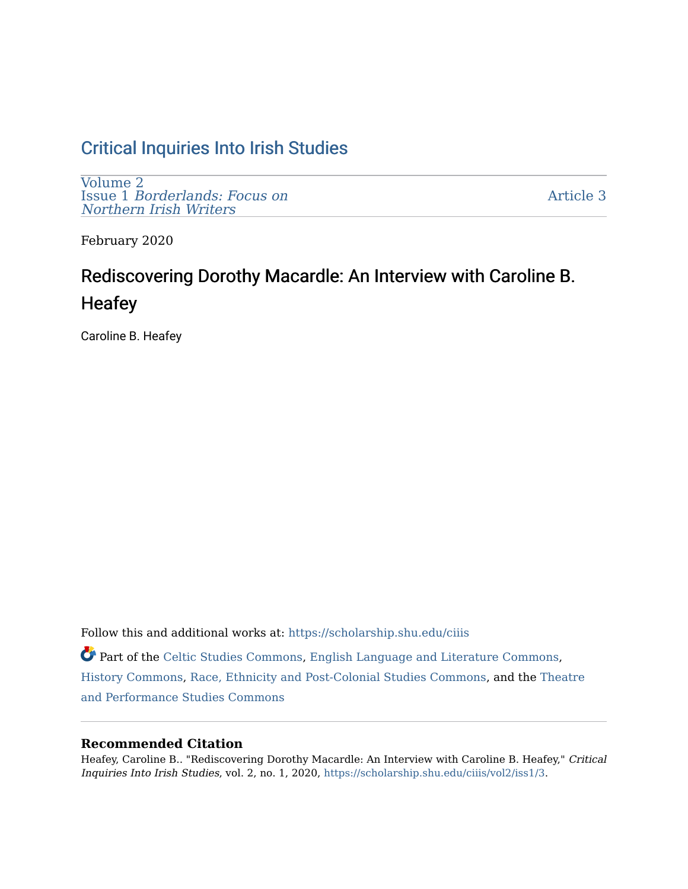# [Critical Inquiries Into Irish Studies](https://scholarship.shu.edu/ciiis)

[Volume 2](https://scholarship.shu.edu/ciiis/vol2) Issue 1 [Borderlands: Focus on](https://scholarship.shu.edu/ciiis/vol2/iss1) [Northern Irish Writers](https://scholarship.shu.edu/ciiis/vol2/iss1) 

[Article 3](https://scholarship.shu.edu/ciiis/vol2/iss1/3) 

February 2020

# Rediscovering Dorothy Macardle: An Interview with Caroline B. **Heafey**

Caroline B. Heafey

Follow this and additional works at: [https://scholarship.shu.edu/ciiis](https://scholarship.shu.edu/ciiis?utm_source=scholarship.shu.edu%2Fciiis%2Fvol2%2Fiss1%2F3&utm_medium=PDF&utm_campaign=PDFCoverPages)  Part of the [Celtic Studies Commons](http://network.bepress.com/hgg/discipline/477?utm_source=scholarship.shu.edu%2Fciiis%2Fvol2%2Fiss1%2F3&utm_medium=PDF&utm_campaign=PDFCoverPages), [English Language and Literature Commons,](http://network.bepress.com/hgg/discipline/455?utm_source=scholarship.shu.edu%2Fciiis%2Fvol2%2Fiss1%2F3&utm_medium=PDF&utm_campaign=PDFCoverPages) [History Commons,](http://network.bepress.com/hgg/discipline/489?utm_source=scholarship.shu.edu%2Fciiis%2Fvol2%2Fiss1%2F3&utm_medium=PDF&utm_campaign=PDFCoverPages) [Race, Ethnicity and Post-Colonial Studies Commons](http://network.bepress.com/hgg/discipline/566?utm_source=scholarship.shu.edu%2Fciiis%2Fvol2%2Fiss1%2F3&utm_medium=PDF&utm_campaign=PDFCoverPages), and the [Theatre](http://network.bepress.com/hgg/discipline/552?utm_source=scholarship.shu.edu%2Fciiis%2Fvol2%2Fiss1%2F3&utm_medium=PDF&utm_campaign=PDFCoverPages)  [and Performance Studies Commons](http://network.bepress.com/hgg/discipline/552?utm_source=scholarship.shu.edu%2Fciiis%2Fvol2%2Fiss1%2F3&utm_medium=PDF&utm_campaign=PDFCoverPages)

# **Recommended Citation**

Heafey, Caroline B.. "Rediscovering Dorothy Macardle: An Interview with Caroline B. Heafey," Critical Inquiries Into Irish Studies, vol. 2, no. 1, 2020, [https://scholarship.shu.edu/ciiis/vol2/iss1/3](https://scholarship.shu.edu/ciiis/vol2/iss1/3?utm_source=scholarship.shu.edu%2Fciiis%2Fvol2%2Fiss1%2F3&utm_medium=PDF&utm_campaign=PDFCoverPages).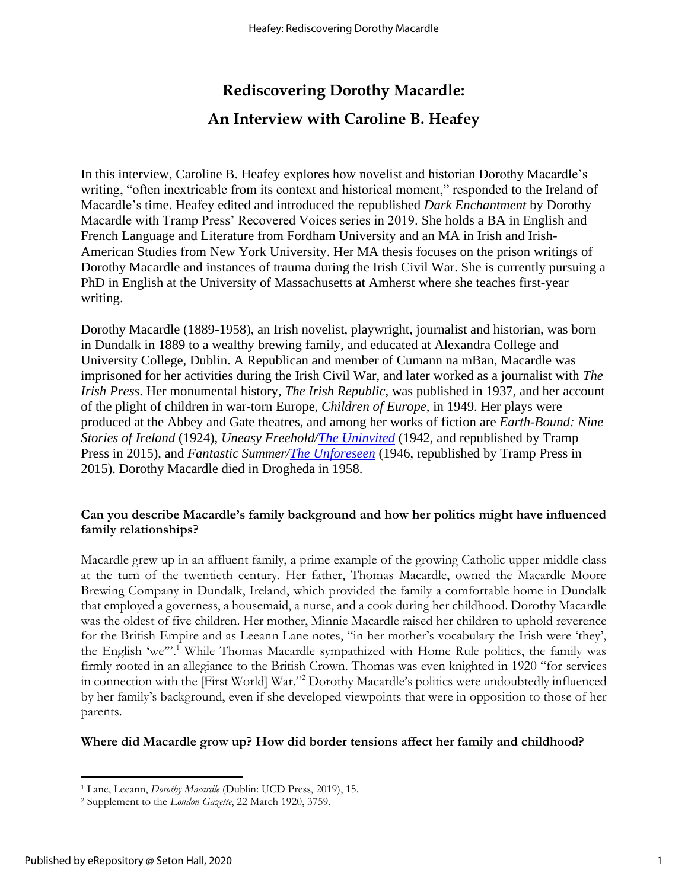# **Rediscovering Dorothy Macardle: An Interview with Caroline B. Heafey**

In this interview, Caroline B. Heafey explores how novelist and historian Dorothy Macardle's writing, "often inextricable from its context and historical moment," responded to the Ireland of Macardle's time. Heafey edited and introduced the republished *Dark Enchantment* by Dorothy Macardle with Tramp Press' Recovered Voices series in 2019. She holds a BA in English and French Language and Literature from Fordham University and an MA in Irish and Irish-American Studies from New York University. Her MA thesis focuses on the prison writings of Dorothy Macardle and instances of trauma during the Irish Civil War. She is currently pursuing a PhD in English at the University of Massachusetts at Amherst where she teaches first-year writing.

Dorothy Macardle (1889-1958), an Irish novelist, playwright, journalist and historian, was born in Dundalk in 1889 to a wealthy brewing family, and educated at Alexandra College and University College, Dublin. A Republican and member of Cumann na mBan, Macardle was imprisoned for her activities during the Irish Civil War, and later worked as a journalist with *The Irish Press*. Her monumental history, *The Irish Republic*, was published in 1937, and her account of the plight of children in war-torn Europe, *Children of Europe*, in 1949. Her plays were produced at the Abbey and Gate theatres, and among her works of fiction are *Earth-Bound: Nine Stories of Ireland* (1924), *Uneasy Freehold[/The Uninvited](http://www.tramppress.com/product/the-uninvited/)* (1942, and republished by Tramp Press in 2015), and *Fantastic Summer[/The Unforeseen](https://www.tramppress.com/product/bundle-offer-dorothy-macardle/)* (1946, republished by Tramp Press in 2015). Dorothy Macardle died in Drogheda in 1958.

# **Can you describe Macardle's family background and how her politics might have influenced family relationships?**

Macardle grew up in an affluent family, a prime example of the growing Catholic upper middle class at the turn of the twentieth century. Her father, Thomas Macardle, owned the Macardle Moore Brewing Company in Dundalk, Ireland, which provided the family a comfortable home in Dundalk that employed a governess, a housemaid, a nurse, and a cook during her childhood. Dorothy Macardle was the oldest of five children. Her mother, Minnie Macardle raised her children to uphold reverence for the British Empire and as Leeann Lane notes, "in her mother's vocabulary the Irish were 'they', the English 'we'". <sup>1</sup> While Thomas Macardle sympathized with Home Rule politics, the family was firmly rooted in an allegiance to the British Crown. Thomas was even knighted in 1920 "for services in connection with the [First World] War."<sup>2</sup> Dorothy Macardle's politics were undoubtedly influenced by her family's background, even if she developed viewpoints that were in opposition to those of her parents.

# **Where did Macardle grow up? How did border tensions affect her family and childhood?**

<sup>1</sup> Lane, Leeann, *Dorothy Macardle* (Dublin: UCD Press, 2019), 15.

<sup>2</sup> Supplement to the *London Gazette*, 22 March 1920, 3759.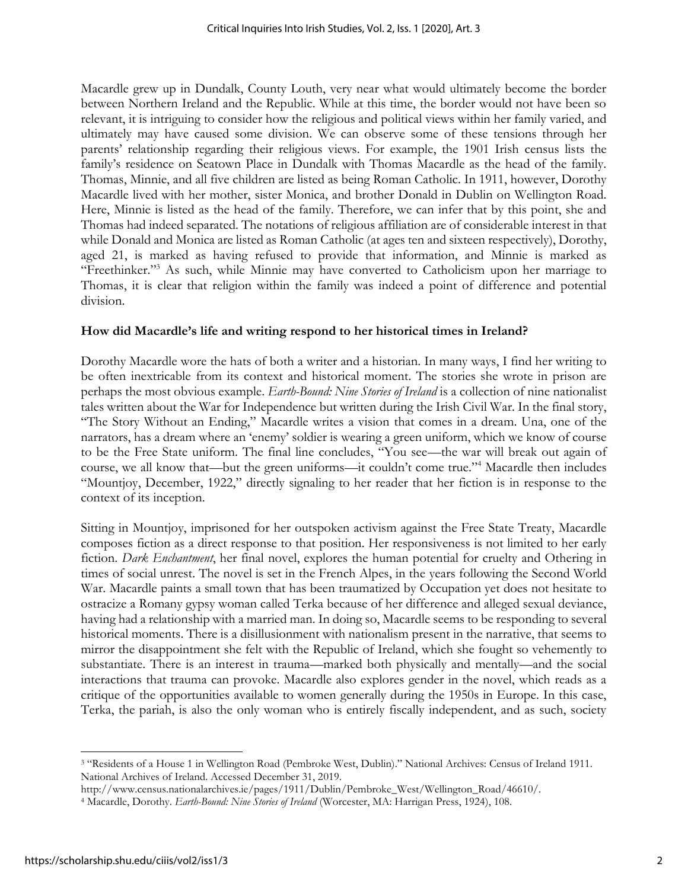Macardle grew up in Dundalk, County Louth, very near what would ultimately become the border between Northern Ireland and the Republic. While at this time, the border would not have been so relevant, it is intriguing to consider how the religious and political views within her family varied, and ultimately may have caused some division. We can observe some of these tensions through her parents' relationship regarding their religious views. For example, the 1901 Irish census lists the family's residence on Seatown Place in Dundalk with Thomas Macardle as the head of the family. Thomas, Minnie, and all five children are listed as being Roman Catholic. In 1911, however, Dorothy Macardle lived with her mother, sister Monica, and brother Donald in Dublin on Wellington Road. Here, Minnie is listed as the head of the family. Therefore, we can infer that by this point, she and Thomas had indeed separated. The notations of religious affiliation are of considerable interest in that while Donald and Monica are listed as Roman Catholic (at ages ten and sixteen respectively), Dorothy, aged 21, is marked as having refused to provide that information, and Minnie is marked as "Freethinker."<sup>3</sup> As such, while Minnie may have converted to Catholicism upon her marriage to Thomas, it is clear that religion within the family was indeed a point of difference and potential division.

#### **How did Macardle's life and writing respond to her historical times in Ireland?**

Dorothy Macardle wore the hats of both a writer and a historian. In many ways, I find her writing to be often inextricable from its context and historical moment. The stories she wrote in prison are perhaps the most obvious example. *Earth-Bound: Nine Stories of Ireland* is a collection of nine nationalist tales written about the War for Independence but written during the Irish Civil War. In the final story, "The Story Without an Ending," Macardle writes a vision that comes in a dream. Una, one of the narrators, has a dream where an 'enemy' soldier is wearing a green uniform, which we know of course to be the Free State uniform. The final line concludes, "You see—the war will break out again of course, we all know that—but the green uniforms—it couldn't come true."<sup>4</sup> Macardle then includes "Mountjoy, December, 1922," directly signaling to her reader that her fiction is in response to the context of its inception.

Sitting in Mountjoy, imprisoned for her outspoken activism against the Free State Treaty, Macardle composes fiction as a direct response to that position. Her responsiveness is not limited to her early fiction. *Dark Enchantment*, her final novel, explores the human potential for cruelty and Othering in times of social unrest. The novel is set in the French Alpes, in the years following the Second World War. Macardle paints a small town that has been traumatized by Occupation yet does not hesitate to ostracize a Romany gypsy woman called Terka because of her difference and alleged sexual deviance, having had a relationship with a married man. In doing so, Macardle seems to be responding to several historical moments. There is a disillusionment with nationalism present in the narrative, that seems to mirror the disappointment she felt with the Republic of Ireland, which she fought so vehemently to substantiate. There is an interest in trauma—marked both physically and mentally—and the social interactions that trauma can provoke. Macardle also explores gender in the novel, which reads as a critique of the opportunities available to women generally during the 1950s in Europe. In this case, Terka, the pariah, is also the only woman who is entirely fiscally independent, and as such, society

<sup>3</sup> "Residents of a House 1 in Wellington Road (Pembroke West, Dublin)." National Archives: Census of Ireland 1911. National Archives of Ireland. Accessed December 31, 2019.

http://www.census.nationalarchives.ie/pages/1911/Dublin/Pembroke\_West/Wellington\_Road/46610/.

<sup>4</sup> Macardle, Dorothy. *Earth-Bound: Nine Stories of Ireland* (Worcester, MA: Harrigan Press, 1924), 108.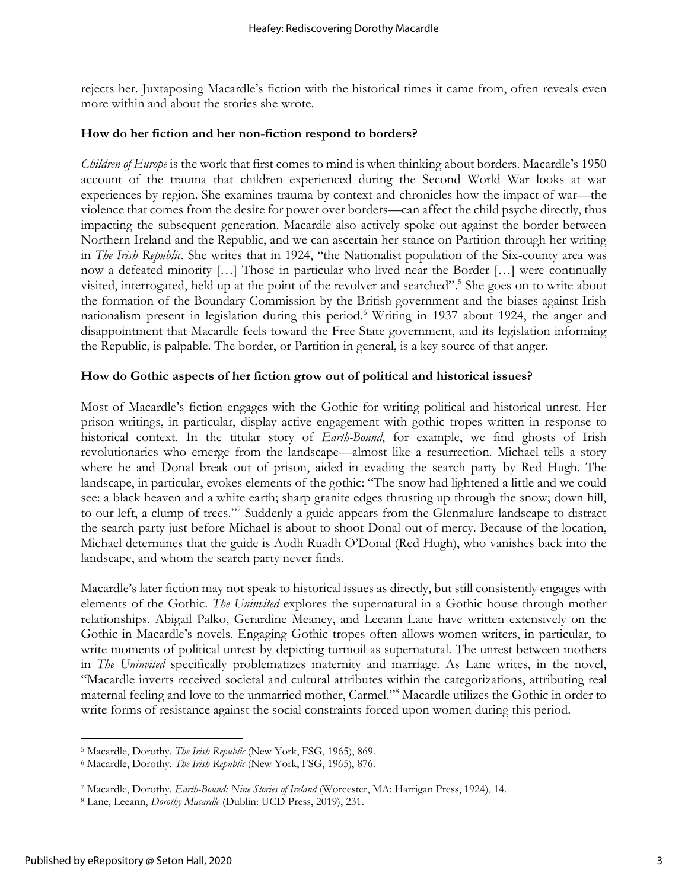rejects her. Juxtaposing Macardle's fiction with the historical times it came from, often reveals even more within and about the stories she wrote.

#### **How do her fiction and her non-fiction respond to borders?**

*Children of Europe* is the work that first comes to mind is when thinking about borders. Macardle's 1950 account of the trauma that children experienced during the Second World War looks at war experiences by region. She examines trauma by context and chronicles how the impact of war—the violence that comes from the desire for power over borders—can affect the child psyche directly, thus impacting the subsequent generation. Macardle also actively spoke out against the border between Northern Ireland and the Republic, and we can ascertain her stance on Partition through her writing in *The Irish Republic*. She writes that in 1924, "the Nationalist population of the Six-county area was now a defeated minority […] Those in particular who lived near the Border […] were continually visited, interrogated, held up at the point of the revolver and searched". 5 She goes on to write about the formation of the Boundary Commission by the British government and the biases against Irish nationalism present in legislation during this period. <sup>6</sup> Writing in 1937 about 1924, the anger and disappointment that Macardle feels toward the Free State government, and its legislation informing the Republic, is palpable. The border, or Partition in general, is a key source of that anger.

# **How do Gothic aspects of her fiction grow out of political and historical issues?**

Most of Macardle's fiction engages with the Gothic for writing political and historical unrest. Her prison writings, in particular, display active engagement with gothic tropes written in response to historical context. In the titular story of *Earth-Bound*, for example, we find ghosts of Irish revolutionaries who emerge from the landscape—almost like a resurrection. Michael tells a story where he and Donal break out of prison, aided in evading the search party by Red Hugh. The landscape, in particular, evokes elements of the gothic: "The snow had lightened a little and we could see: a black heaven and a white earth; sharp granite edges thrusting up through the snow; down hill, to our left, a clump of trees."<sup>7</sup> Suddenly a guide appears from the Glenmalure landscape to distract the search party just before Michael is about to shoot Donal out of mercy. Because of the location, Michael determines that the guide is Aodh Ruadh O'Donal (Red Hugh), who vanishes back into the landscape, and whom the search party never finds.

Macardle's later fiction may not speak to historical issues as directly, but still consistently engages with elements of the Gothic. *The Uninvited* explores the supernatural in a Gothic house through mother relationships. Abigail Palko, Gerardine Meaney, and Leeann Lane have written extensively on the Gothic in Macardle's novels. Engaging Gothic tropes often allows women writers, in particular, to write moments of political unrest by depicting turmoil as supernatural. The unrest between mothers in *The Uninvited* specifically problematizes maternity and marriage. As Lane writes, in the novel, "Macardle inverts received societal and cultural attributes within the categorizations, attributing real maternal feeling and love to the unmarried mother, Carmel."<sup>8</sup> Macardle utilizes the Gothic in order to write forms of resistance against the social constraints forced upon women during this period.

<sup>5</sup> Macardle, Dorothy. *The Irish Republic* (New York, FSG, 1965), 869.

<sup>6</sup> Macardle, Dorothy. *The Irish Republic* (New York, FSG, 1965), 876.

<sup>7</sup> Macardle, Dorothy. *Earth-Bound: Nine Stories of Ireland* (Worcester, MA: Harrigan Press, 1924), 14.

<sup>8</sup> Lane, Leeann, *Dorothy Macardle* (Dublin: UCD Press, 2019), 231.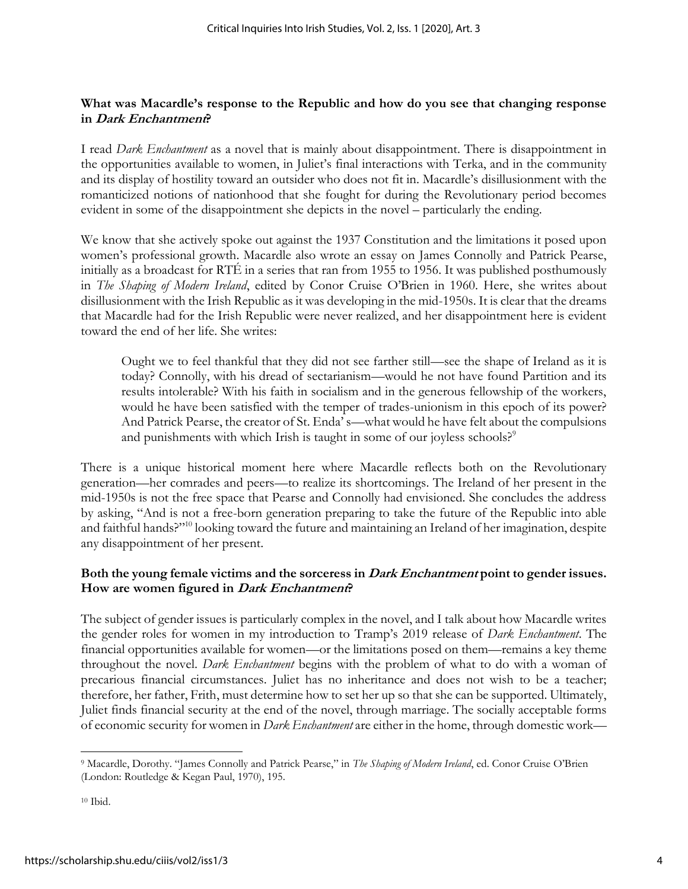# **What was Macardle's response to the Republic and how do you see that changing response in Dark Enchantment?**

I read *Dark Enchantment* as a novel that is mainly about disappointment. There is disappointment in the opportunities available to women, in Juliet's final interactions with Terka, and in the community and its display of hostility toward an outsider who does not fit in. Macardle's disillusionment with the romanticized notions of nationhood that she fought for during the Revolutionary period becomes evident in some of the disappointment she depicts in the novel – particularly the ending.

We know that she actively spoke out against the 1937 Constitution and the limitations it posed upon women's professional growth. Macardle also wrote an essay on James Connolly and Patrick Pearse, initially as a broadcast for RTÉ in a series that ran from 1955 to 1956. It was published posthumously in *The Shaping of Modern Ireland*, edited by Conor Cruise O'Brien in 1960. Here, she writes about disillusionment with the Irish Republic as it was developing in the mid-1950s. It is clear that the dreams that Macardle had for the Irish Republic were never realized, and her disappointment here is evident toward the end of her life. She writes:

Ought we to feel thankful that they did not see farther still—see the shape of Ireland as it is today? Connolly, with his dread of sectarianism—would he not have found Partition and its results intolerable? With his faith in socialism and in the generous fellowship of the workers, would he have been satisfied with the temper of trades-unionism in this epoch of its power? And Patrick Pearse, the creator of St. Enda' s—what would he have felt about the compulsions and punishments with which Irish is taught in some of our joyless schools?<sup>9</sup>

There is a unique historical moment here where Macardle reflects both on the Revolutionary generation—her comrades and peers—to realize its shortcomings. The Ireland of her present in the mid-1950s is not the free space that Pearse and Connolly had envisioned. She concludes the address by asking, "And is not a free-born generation preparing to take the future of the Republic into able and faithful hands?"<sup>10</sup> looking toward the future and maintaining an Ireland of her imagination, despite any disappointment of her present.

# **Both the young female victims and the sorceress in Dark Enchantment point to gender issues. How are women figured in Dark Enchantment?**

The subject of gender issues is particularly complex in the novel, and I talk about how Macardle writes the gender roles for women in my introduction to Tramp's 2019 release of *Dark Enchantment*. The financial opportunities available for women—or the limitations posed on them—remains a key theme throughout the novel. *Dark Enchantment* begins with the problem of what to do with a woman of precarious financial circumstances. Juliet has no inheritance and does not wish to be a teacher; therefore, her father, Frith, must determine how to set her up so that she can be supported. Ultimately, Juliet finds financial security at the end of the novel, through marriage. The socially acceptable forms of economic security for women in *Dark Enchantment* are either in the home, through domestic work—

<sup>9</sup> Macardle, Dorothy. "James Connolly and Patrick Pearse," in *The Shaping of Modern Ireland*, ed. Conor Cruise O'Brien (London: Routledge & Kegan Paul, 1970), 195.

<sup>10</sup> Ibid.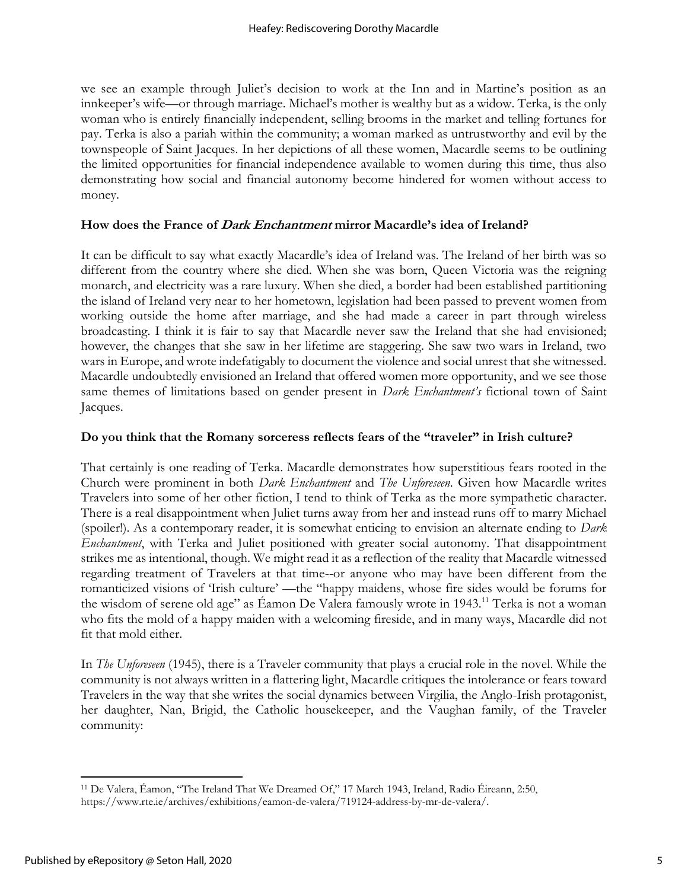we see an example through Juliet's decision to work at the Inn and in Martine's position as an innkeeper's wife—or through marriage. Michael's mother is wealthy but as a widow. Terka, is the only woman who is entirely financially independent, selling brooms in the market and telling fortunes for pay. Terka is also a pariah within the community; a woman marked as untrustworthy and evil by the townspeople of Saint Jacques. In her depictions of all these women, Macardle seems to be outlining the limited opportunities for financial independence available to women during this time, thus also demonstrating how social and financial autonomy become hindered for women without access to money.

# **How does the France of Dark Enchantment mirror Macardle's idea of Ireland?**

It can be difficult to say what exactly Macardle's idea of Ireland was. The Ireland of her birth was so different from the country where she died. When she was born, Queen Victoria was the reigning monarch, and electricity was a rare luxury. When she died, a border had been established partitioning the island of Ireland very near to her hometown, legislation had been passed to prevent women from working outside the home after marriage, and she had made a career in part through wireless broadcasting. I think it is fair to say that Macardle never saw the Ireland that she had envisioned; however, the changes that she saw in her lifetime are staggering. She saw two wars in Ireland, two wars in Europe, and wrote indefatigably to document the violence and social unrest that she witnessed. Macardle undoubtedly envisioned an Ireland that offered women more opportunity, and we see those same themes of limitations based on gender present in *Dark Enchantment's* fictional town of Saint Jacques.

#### **Do you think that the Romany sorceress reflects fears of the "traveler" in Irish culture?**

That certainly is one reading of Terka. Macardle demonstrates how superstitious fears rooted in the Church were prominent in both *Dark Enchantment* and *The Unforeseen*. Given how Macardle writes Travelers into some of her other fiction, I tend to think of Terka as the more sympathetic character. There is a real disappointment when Juliet turns away from her and instead runs off to marry Michael (spoiler!). As a contemporary reader, it is somewhat enticing to envision an alternate ending to *Dark Enchantment*, with Terka and Juliet positioned with greater social autonomy. That disappointment strikes me as intentional, though. We might read it as a reflection of the reality that Macardle witnessed regarding treatment of Travelers at that time--or anyone who may have been different from the romanticized visions of 'Irish culture' —the "happy maidens, whose fire sides would be forums for the wisdom of serene old age" as Éamon De Valera famously wrote in 1943.<sup>11</sup> Terka is not a woman who fits the mold of a happy maiden with a welcoming fireside, and in many ways, Macardle did not fit that mold either.

In *The Unforeseen* (1945), there is a Traveler community that plays a crucial role in the novel. While the community is not always written in a flattering light, Macardle critiques the intolerance or fears toward Travelers in the way that she writes the social dynamics between Virgilia, the Anglo-Irish protagonist, her daughter, Nan, Brigid, the Catholic housekeeper, and the Vaughan family, of the Traveler community:

<sup>11</sup> De Valera, Éamon, "The Ireland That We Dreamed Of," 17 March 1943, Ireland, Radio Éireann, 2:50, https://www.rte.ie/archives/exhibitions/eamon-de-valera/719124-address-by-mr-de-valera/.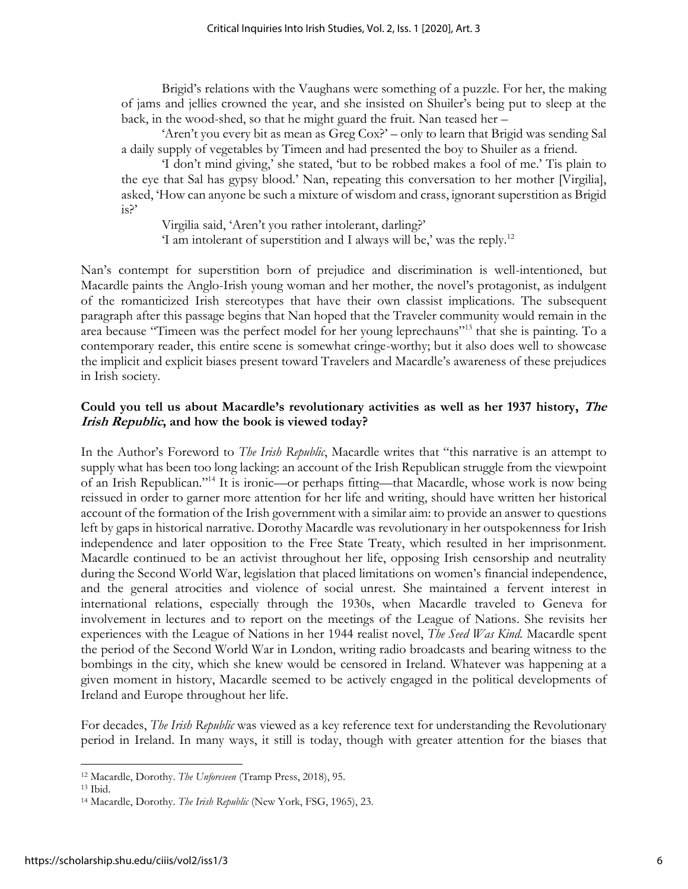Brigid's relations with the Vaughans were something of a puzzle. For her, the making of jams and jellies crowned the year, and she insisted on Shuiler's being put to sleep at the back, in the wood-shed, so that he might guard the fruit. Nan teased her –

'Aren't you every bit as mean as Greg Cox?' – only to learn that Brigid was sending Sal a daily supply of vegetables by Timeen and had presented the boy to Shuiler as a friend.

'I don't mind giving,' she stated, 'but to be robbed makes a fool of me.' Tis plain to the eye that Sal has gypsy blood.' Nan, repeating this conversation to her mother [Virgilia], asked, 'How can anyone be such a mixture of wisdom and crass, ignorant superstition as Brigid is?'

Virgilia said, 'Aren't you rather intolerant, darling?'

'I am intolerant of superstition and I always will be,' was the reply.<sup>12</sup>

Nan's contempt for superstition born of prejudice and discrimination is well-intentioned, but Macardle paints the Anglo-Irish young woman and her mother, the novel's protagonist, as indulgent of the romanticized Irish stereotypes that have their own classist implications. The subsequent paragraph after this passage begins that Nan hoped that the Traveler community would remain in the area because "Timeen was the perfect model for her young leprechauns"<sup>13</sup> that she is painting. To a contemporary reader, this entire scene is somewhat cringe-worthy; but it also does well to showcase the implicit and explicit biases present toward Travelers and Macardle's awareness of these prejudices in Irish society.

# **Could you tell us about Macardle's revolutionary activities as well as her 1937 history, The Irish Republic, and how the book is viewed today?**

In the Author's Foreword to *The Irish Republic*, Macardle writes that "this narrative is an attempt to supply what has been too long lacking: an account of the Irish Republican struggle from the viewpoint of an Irish Republican."<sup>14</sup> It is ironic—or perhaps fitting—that Macardle, whose work is now being reissued in order to garner more attention for her life and writing, should have written her historical account of the formation of the Irish government with a similar aim: to provide an answer to questions left by gaps in historical narrative. Dorothy Macardle was revolutionary in her outspokenness for Irish independence and later opposition to the Free State Treaty, which resulted in her imprisonment. Macardle continued to be an activist throughout her life, opposing Irish censorship and neutrality during the Second World War, legislation that placed limitations on women's financial independence, and the general atrocities and violence of social unrest. She maintained a fervent interest in international relations, especially through the 1930s, when Macardle traveled to Geneva for involvement in lectures and to report on the meetings of the League of Nations. She revisits her experiences with the League of Nations in her 1944 realist novel, *The Seed Was Kind.* Macardle spent the period of the Second World War in London, writing radio broadcasts and bearing witness to the bombings in the city, which she knew would be censored in Ireland. Whatever was happening at a given moment in history, Macardle seemed to be actively engaged in the political developments of Ireland and Europe throughout her life.

For decades, *The Irish Republic* was viewed as a key reference text for understanding the Revolutionary period in Ireland. In many ways, it still is today, though with greater attention for the biases that

<sup>12</sup> Macardle, Dorothy. *The Unforeseen* (Tramp Press, 2018), 95.

<sup>13</sup> Ibid.

<sup>14</sup> Macardle, Dorothy. *The Irish Republic* (New York, FSG, 1965), 23.